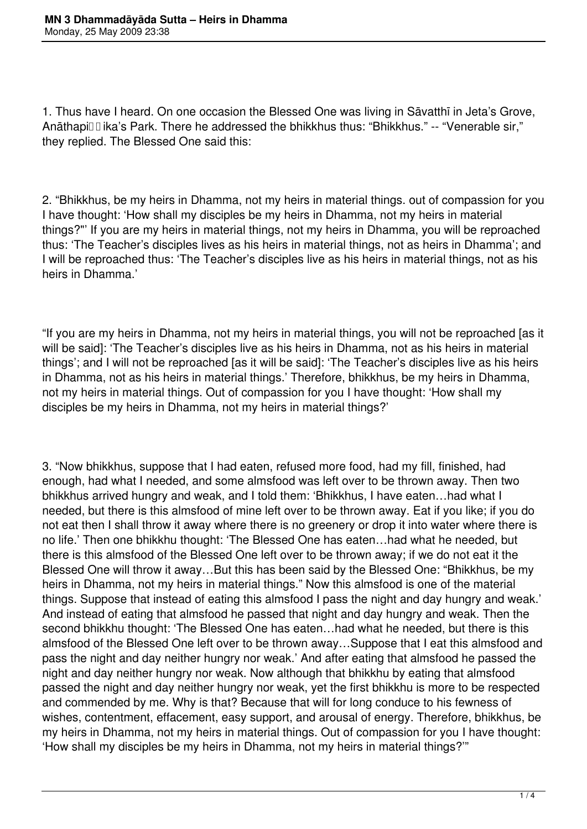1. Thus have I heard. On one occasion the Blessed One was living in Sāvatthī in Jeta's Grove, Anāthapiūūika's Park. There he addressed the bhikkhus thus: "Bhikkhus." -- "Venerable sir," they replied. The Blessed One said this:

2. "Bhikkhus, be my heirs in Dhamma, not my heirs in material things. out of compassion for you I have thought: 'How shall my disciples be my heirs in Dhamma, not my heirs in material things?"' If you are my heirs in material things, not my heirs in Dhamma, you will be reproached thus: 'The Teacher's disciples lives as his heirs in material things, not as heirs in Dhamma'; and I will be reproached thus: 'The Teacher's disciples live as his heirs in material things, not as his heirs in Dhamma.'

"If you are my heirs in Dhamma, not my heirs in material things, you will not be reproached [as it will be said]: 'The Teacher's disciples live as his heirs in Dhamma, not as his heirs in material things'; and I will not be reproached [as it will be said]: 'The Teacher's disciples live as his heirs in Dhamma, not as his heirs in material things.' Therefore, bhikkhus, be my heirs in Dhamma, not my heirs in material things. Out of compassion for you I have thought: 'How shall my disciples be my heirs in Dhamma, not my heirs in material things?'

3. "Now bhikkhus, suppose that I had eaten, refused more food, had my fill, finished, had enough, had what I needed, and some almsfood was left over to be thrown away. Then two bhikkhus arrived hungry and weak, and I told them: 'Bhikkhus, I have eaten…had what I needed, but there is this almsfood of mine left over to be thrown away. Eat if you like; if you do not eat then I shall throw it away where there is no greenery or drop it into water where there is no life.' Then one bhikkhu thought: 'The Blessed One has eaten…had what he needed, but there is this almsfood of the Blessed One left over to be thrown away; if we do not eat it the Blessed One will throw it away…But this has been said by the Blessed One: "Bhikkhus, be my heirs in Dhamma, not my heirs in material things." Now this almsfood is one of the material things. Suppose that instead of eating this almsfood I pass the night and day hungry and weak.' And instead of eating that almsfood he passed that night and day hungry and weak. Then the second bhikkhu thought: 'The Blessed One has eaten…had what he needed, but there is this almsfood of the Blessed One left over to be thrown away…Suppose that I eat this almsfood and pass the night and day neither hungry nor weak.' And after eating that almsfood he passed the night and day neither hungry nor weak. Now although that bhikkhu by eating that almsfood passed the night and day neither hungry nor weak, yet the first bhikkhu is more to be respected and commended by me. Why is that? Because that will for long conduce to his fewness of wishes, contentment, effacement, easy support, and arousal of energy. Therefore, bhikkhus, be my heirs in Dhamma, not my heirs in material things. Out of compassion for you I have thought: 'How shall my disciples be my heirs in Dhamma, not my heirs in material things?'"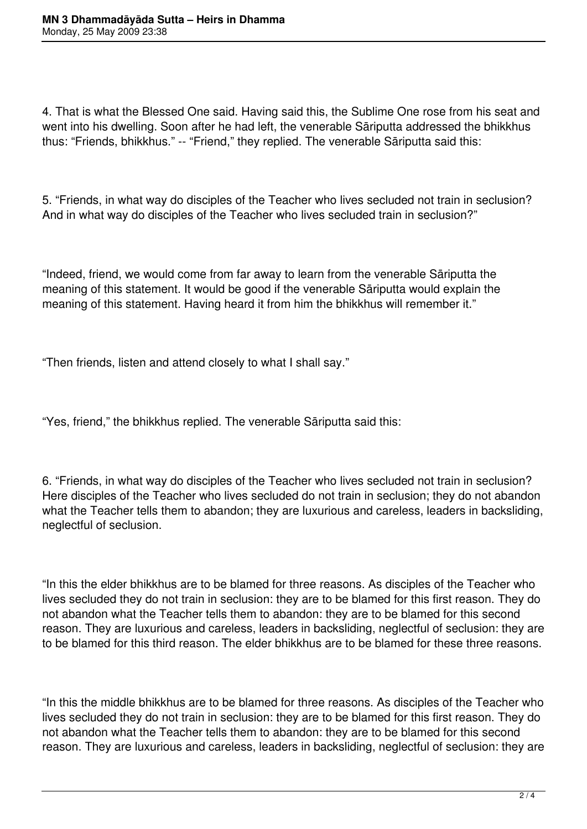4. That is what the Blessed One said. Having said this, the Sublime One rose from his seat and went into his dwelling. Soon after he had left, the venerable Sāriputta addressed the bhikkhus thus: "Friends, bhikkhus." -- "Friend," they replied. The venerable Sāriputta said this:

5. "Friends, in what way do disciples of the Teacher who lives secluded not train in seclusion? And in what way do disciples of the Teacher who lives secluded train in seclusion?"

"Indeed, friend, we would come from far away to learn from the venerable Sāriputta the meaning of this statement. It would be good if the venerable Sāriputta would explain the meaning of this statement. Having heard it from him the bhikkhus will remember it."

"Then friends, listen and attend closely to what I shall say."

"Yes, friend," the bhikkhus replied. The venerable Sāriputta said this:

6. "Friends, in what way do disciples of the Teacher who lives secluded not train in seclusion? Here disciples of the Teacher who lives secluded do not train in seclusion; they do not abandon what the Teacher tells them to abandon; they are luxurious and careless, leaders in backsliding, neglectful of seclusion.

"In this the elder bhikkhus are to be blamed for three reasons. As disciples of the Teacher who lives secluded they do not train in seclusion: they are to be blamed for this first reason. They do not abandon what the Teacher tells them to abandon: they are to be blamed for this second reason. They are luxurious and careless, leaders in backsliding, neglectful of seclusion: they are to be blamed for this third reason. The elder bhikkhus are to be blamed for these three reasons.

"In this the middle bhikkhus are to be blamed for three reasons. As disciples of the Teacher who lives secluded they do not train in seclusion: they are to be blamed for this first reason. They do not abandon what the Teacher tells them to abandon: they are to be blamed for this second reason. They are luxurious and careless, leaders in backsliding, neglectful of seclusion: they are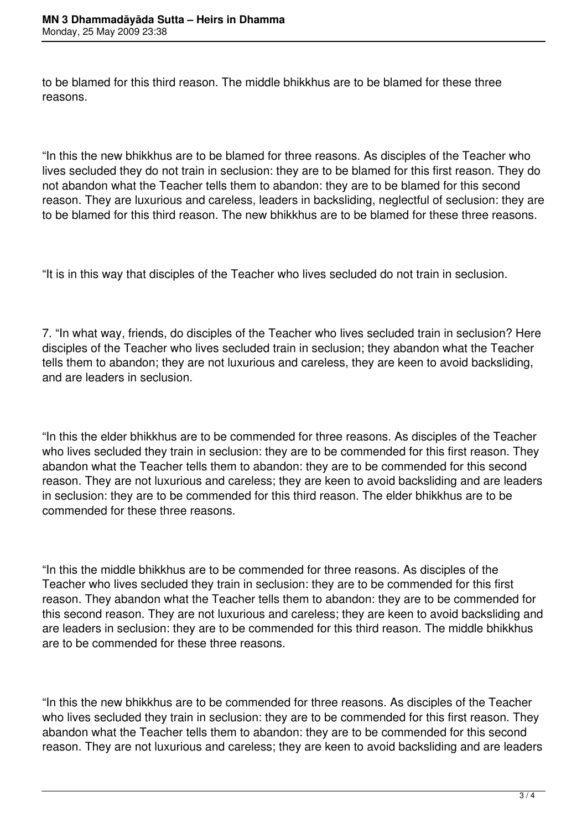to be blamed for this third reason. The middle bhikkhus are to be blamed for these three reasons.

"In this the new bhikkhus are to be blamed for three reasons. As disciples of the Teacher who lives secluded they do not train in seclusion: they are to be blamed for this first reason. They do not abandon what the Teacher tells them to abandon: they are to be blamed for this second reason. They are luxurious and careless, leaders in backsliding, neglectful of seclusion: they are to be blamed for this third reason. The new bhikkhus are to be blamed for these three reasons.

"It is in this way that disciples of the Teacher who lives secluded do not train in seclusion.

7. "In what way, friends, do disciples of the Teacher who lives secluded train in seclusion? Here disciples of the Teacher who lives secluded train in seclusion; they abandon what the Teacher tells them to abandon; they are not luxurious and careless, they are keen to avoid backsliding, and are leaders in seclusion.

"In this the elder bhikkhus are to be commended for three reasons. As disciples of the Teacher who lives secluded they train in seclusion: they are to be commended for this first reason. They abandon what the Teacher tells them to abandon: they are to be commended for this second reason. They are not luxurious and careless; they are keen to avoid backsliding and are leaders in seclusion: they are to be commended for this third reason. The elder bhikkhus are to be commended for these three reasons.

"In this the middle bhikkhus are to be commended for three reasons. As disciples of the Teacher who lives secluded they train in seclusion: they are to be commended for this first reason. They abandon what the Teacher tells them to abandon: they are to be commended for this second reason. They are not luxurious and careless; they are keen to avoid backsliding and are leaders in seclusion: they are to be commended for this third reason. The middle bhikkhus are to be commended for these three reasons.

"In this the new bhikkhus are to be commended for three reasons. As disciples of the Teacher who lives secluded they train in seclusion: they are to be commended for this first reason. They abandon what the Teacher tells them to abandon: they are to be commended for this second reason. They are not luxurious and careless; they are keen to avoid backsliding and are leaders